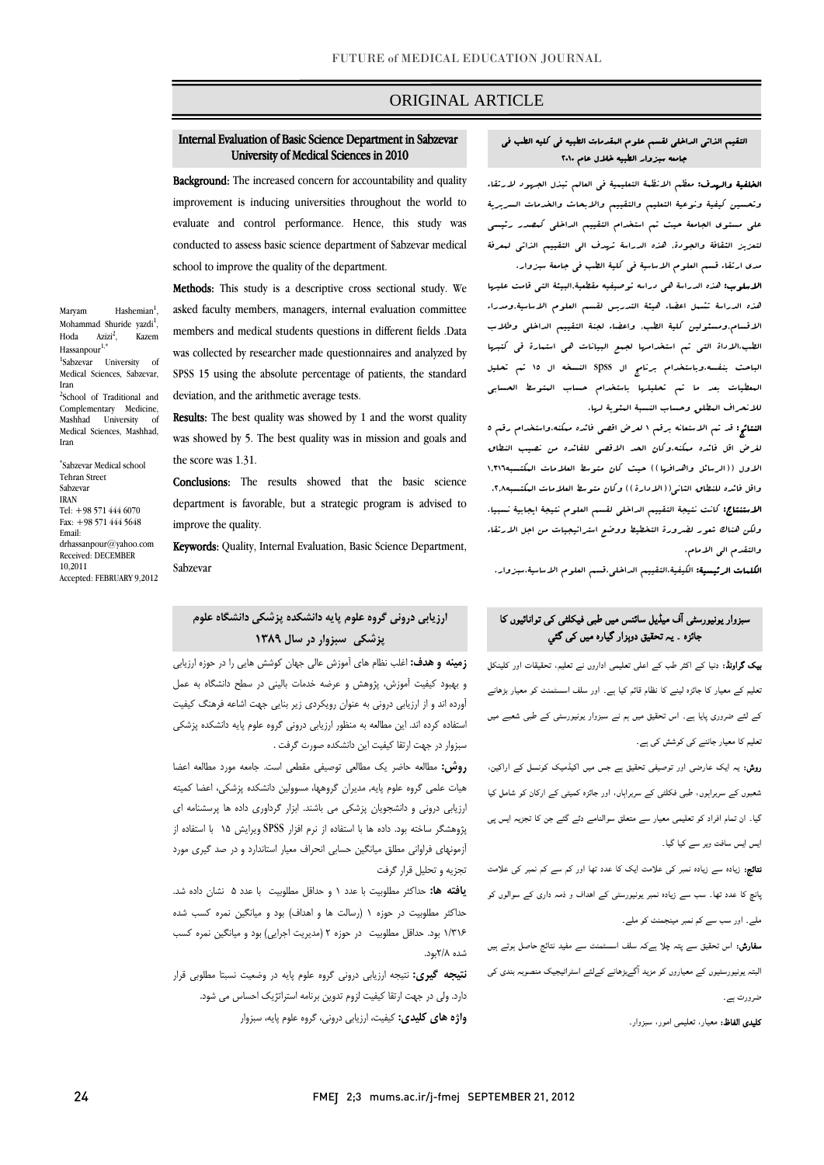## ORIGINAL ARTICLE

# Internal Evaluation of Basic Science Department in Sabzevar University of Medical Sciences in 2010

Ī

Background: The increased concern for accountability and quality improvement is inducing universities throughout the world to evaluate and control performance. Hence, this study was conducted to assess basic science department of Sabzevar medical school to improve the quality of the department.

Methods: This study is a descriptive cross sectional study. We asked faculty members, managers, internal evaluation committee members and medical students questions in different fields .Data was collected by researcher made questionnaires and analyzed by SPSS 15 using the absolute percentage of patients, the standard Ï deviation, and the arithmetic average tests.

**Results:** The best quality was showed by 1 and the worst quality was showed by 5. The best quality was in mission and goals and the score was 1.31.

**Conclusions:** The results showed that the basic science department is favorable, but a strategic program is advised to improve the quality.

Keywords: Quality, Internal Evaluation, Basic Science Department, Sabzevar

# **ارزيابي دروني گروه علوم پايه دانشكده پزشكي دانشگاه علوم پزشكي سبزوار در سال 1389**

 **زمينه و هدف:** اغلب نظام هاي آموزش عالي جهان كوشش هايي را در حوزه ارزيابي و بهبود كيفيت آموزش، پژوهش و عرضه خدمات باليني در سطح دانشگاه به عمل آورده اند و از ارزيابي دروني به عنوان رويكردي زير بنايي جهت اشاعه فرهنگ كيفيت استفاده كرده اند. اين مطالعه به منظور ارزيابي دروني گروه علوم پايه دانشكده پزشكي سبزوار در جهت ارتقا كيفيت اين دانشكده صورت گرفت .

 **روش:** مطالعه حاضر يك مطالعي توصيفي مقطعي است. جامعه مورد مطالعه اعضا هيات علمي گروه علوم پايه, مديران گروهها، مسوولين دانشكده پزشكي، اعضا كميته ارزيابي دروني و دانشجويان پزشكي مي باشند. ابزار گرداوري داده ها پرسشنامه اي پژوهشگر ساخته بود. داده ها با استفاده از نرم افزار SPSS ويرايش 15 با استفاده از آزمونهاي فراواني مطلق ميانگين حسابي انحراف معيار استاندارد و در صد گيري مورد تجزيه و تحليل قرار گرفت

 **يافته ها:** حداكثر مطلوبيت با عدد 1 و حداقل مطلوبيت با عدد 5 نشان داده شد. حداكثر مطلوبيت در حوزه 1 (رسالت ها و اهداف) بود و ميانگين نمره كسب شده 1/316 بود. حداقل مطلوبيت در حوزه 2 (مديريت اجرايي) بود و ميانگين نمره كسب شده 2/8بود.

 **نتيجه گيري:** نتيجه ارزيابي دروني گروه علوم پايه در وضعيت نسبتا مطلوبي قرار **واژه هاي كليدي:** كيفيت، ارزيابي دروني، گروه علوم پايه، سبزوار دارد. ولي در جهت ارتقا كيفيت لزوم تدوين برنامه استراتژيك احساس مي شود.

### التقيم الذاتي الداخلي لقسم علوم المقدمات الطبيه في كليه الطب في جامعه سبزوار الطبيه خلال عام 2010

Ī

ا**لخلفية والهدف:** معظم الانظمة التعليمية ف<sub>ى</sub> العالم تبذل الج*هود لار*تقاء وتحسين كيفية ونوعية التعليم والتقييم والابحاث والخدمات السريرية على مستوى الجامعة حيث تم استخدام التقييم الداخلي كمصدر رئيسي لتعزيز الثقافة والجودة, هذه الدراسة تهدف الى التقييم الذاتي لمعرفة مدي ارتقاء قسم العلوم الاساسية في كلية الطب في جامعة سبزوار.

 الاسلوب: هذه الدراسة هي دراسه توصيفيه مقطعية,البيئة التي قامت عليها هذه الدراسة تشمل اعضاء هيئة التدريس لقسم العلوم الاساسية,ومدراء الاقسام,ومسئولين كلية الطب, واعضاء لجنة التقييم الداخلي وطلاب الطب.الاداة التي تم استخدامها لجمع البيانات هي استمارة قى كتبها الباحث بنفسه.وباستخدام برنامج ال spss النسخه ال 15 تم تحليل المعطيات بعد ما تم تحليلها باستخدام حساب المتوسط الحسابي للانحراف المطلق وحساب النسبة المئوية لها.

 النتائج: قد تم الاستعانه برقم 1 لعرض اقصى فائده ممكنه،واستخدام رقم 5 لغرض اقل فائده ممكنه.وكان الحد الاقصى للفائده من نصيب النطاق الاول ((الرسائل واهدافها)) حيث كان متوسط العلامات المكتسبه1,316 واقل فائده للنطاق الثاني((الادارة)) وكان متوسط العلامات المكتسبه.2,8 الاستنتاج: كانت نتيجة التقييم الداخلي لقسم العلوم نتيجة ايجابية نسبيا. ولكن هناك شعور لضرورة التخطيط ووضع استراتيجيات من اجل الارتقاء والتقدم الى الامام.

الكلمات الرئيسية: الكيفية،التقييم الداخلي،قسم العلوم الاساسية،سبزوار.

# سبزوار یونیورسٹی آف میڈیل سائںس میں طبی فیکلٹی کی توانائیوں کا جائزہ ۔ یہ تحقیق دوہزار گيارہ میں کی گئي

 بیک گراونڈ: دنیا کے اکثر طب کے اعلی تعلیمی اداروں نے تعلیم، تحقیقات اور کلینکل تعلیم کے معیار کا جائزہ لینے کا نظام قائم کیا ہے۔ اور سلف اسسٹمنٹ کو معیار بڑھانے کے لئے ضروری پایا ہے۔ اس تحقیق میں ہم نے سبزوار یونیورسٹی کے طبی شعبے میں تعلیم کا معیار جاننے کی کوشش کی ہے۔

 روش: یہ ایک عارضی اور توصیفی تحقیق ہے جس میں اکیڈمیک کونسل کے اراکین، شعبوں کے سربراہوں، طبی فکلٹی کے سربراہاں، اور جائزہ کمیٹی کے ارکان کو شامل کیا گيا۔ ان تمام افراد کو تعلیمی معیار سے متعلق سوالنامے دئے گئے جن کا تجزیہ ایس پی ایس ایس سافت ویر سے کیا گيا۔

 نتائج: زیادہ سے زیادہ نمبر کی علامت ایک کا عدد تھا اور کم سے کم نمبر کی علامت پانچ کا عدد تھا۔ سب سے زیادہ نمبر یونیورسٹی کے اھداف و ذمہ داری کے سوالوں کو ملے۔ اور سب سے کم نمبر مینجمنٹ کو ملے۔

 سفارش: اس تحقیق سے پتہ چلا ہےکہ سلف اسسٹمنٹ سے مفید نتائج حاصل ہوتے ہیں البتہ یونیورسٹیوں کے معیاروں کو مزید آگےبڑھانے کےلئے اسٹراٹیجیک منصوبہ بندی کی ضرورت ہے۔

کلیدی الفاظ: معیار، تعلیمی امور، سبزوار۔

Maryam Hashemian<sup>1</sup>, Mohammad Shuride yazdi<sup>1</sup>, Hoda  $Azizi^2$ , , Kazem  $Has$ sanpour $<sup>1</sup>$ </sup> 1 Sabzevar University of Medical Sciences, Sabzevar, Iran <sup>2</sup>School of Traditional and Complementary Medicine, Mashhad University of Medical Sciences, Mashhad, Iran

\* Sabzevar Medical school Tehran Street Sabzevar IRAN  $Tel: +98 571 444 6070$ Fax:  $+98$  571 444 5648 Email: drhassanpour@yahoo.com Received: DECEMBER 10,2011 Accepted: FEBRUARY 9,2012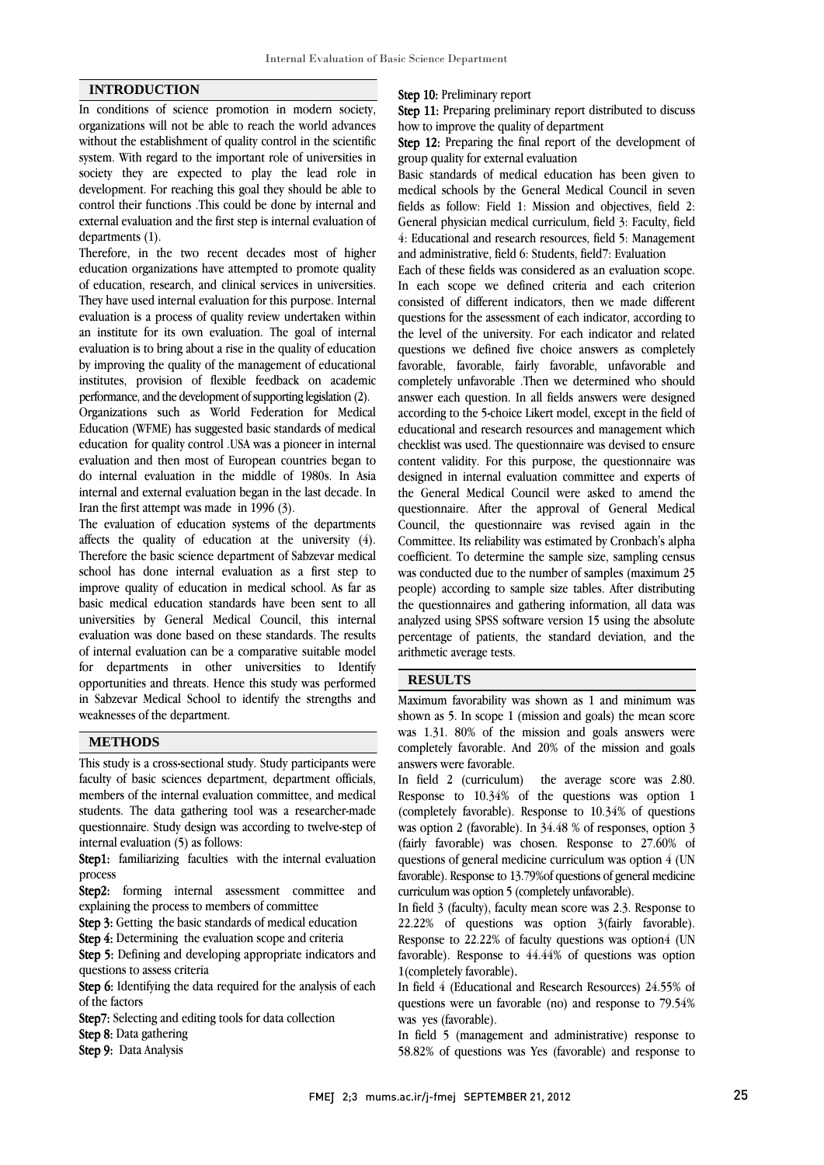### **INTRODUCTION**

In conditions of science promotion in modern society, organizations will not be able to reach the world advances without the establishment of quality control in the scientific system. With regard to the important role of universities in society they are expected to play the lead role in development. For reaching this goal they should be able to control their functions .This could be done by internal and external evaluation and the first step is internal evaluation of departments (1).

Therefore, in the two recent decades most of higher education organizations have attempted to promote quality of education, research, and clinical services in universities. They have used internal evaluation for this purpose. Internal evaluation is a process of quality review undertaken within an institute for its own evaluation. The goal of internal evaluation is to bring about a rise in the quality of education by improving the quality of the management of educational institutes, provision of flexible feedback on academic performance, and the development of supporting legislation (2).

Organizations such as World Federation for Medical Education (WFME) has suggested basic standards of medical education for quality control .USA was a pioneer in internal evaluation and then most of European countries began to do internal evaluation in the middle of 1980s. In Asia internal and external evaluation began in the last decade. In Iran the first attempt was made in 1996 (3).

The evaluation of education systems of the departments affects the quality of education at the university (4). Therefore the basic science department of Sabzevar medical school has done internal evaluation as a first step to improve quality of education in medical school. As far as basic medical education standards have been sent to all universities by General Medical Council, this internal evaluation was done based on these standards. The results of internal evaluation can be a comparative suitable model for departments in other universities to Identify opportunities and threats. Hence this study was performed in Sabzevar Medical School to identify the strengths and weaknesses of the department.

### **METHODS**

This study is a cross-sectional study. Study participants were faculty of basic sciences department, department officials, members of the internal evaluation committee, and medical students. The data gathering tool was a researcher-made questionnaire. Study design was according to twelve-step of internal evaluation (5) as follows:

Step1: familiarizing faculties with the internal evaluation process

Step2: forming internal assessment committee and explaining the process to members of committee

Step 3: Getting the basic standards of medical education

Step 4: Determining the evaluation scope and criteria

Step 5: Defining and developing appropriate indicators and questions to assess criteria

Step 6: Identifying the data required for the analysis of each of the factors

Step7: Selecting and editing tools for data collection

Step 8: Data gathering Step 9: Data Analysis

Step 10: Preliminary report

Step 11: Preparing preliminary report distributed to discuss how to improve the quality of department

 Step 12: Preparing the final report of the development of group quality for external evaluation

 Basic standards of medical education has been given to medical schools by the General Medical Council in seven fields as follow: Field 1: Mission and objectives, field 2: General physician medical curriculum, field 3: Faculty, field and administrative, field 6: Students, field7: Evaluation 4: Educational and research resources, field 5: Management

 Each of these fields was considered as an evaluation scope. In each scope we defined criteria and each criterion consisted of different indicators, then we made different the level of the university. For each indicator and related questions we defined five choice answers as completely favorable, favorable, fairly favorable, unfavorable and completely unfavorable .Then we determined who should according to the 5-choice Likert model, except in the field of educational and research resources and management which checklist was used. The questionnaire was devised to ensure content validity. For this purpose, the questionnaire was the General Medical Council were asked to amend the questionnaire. After the approval of General Medical Council, the questionnaire was revised again in the Committee. Its reliability was estimated by Cronbach's alpha was conducted due to the number of samples (maximum 25 people) according to sample size tables. After distributing the questionnaires and gathering information, all data was analyzed using SPSS software version 15 using the absolute arithmetic average tests. questions for the assessment of each indicator, according to answer each question. In all fields answers were designed designed in internal evaluation committee and experts of coefficient. To determine the sample size, sampling census percentage of patients, the standard deviation, and the

## **RESULTS**

֦

 Maximum favorability was shown as 1 and minimum was was  $1.31.80\%$  of the mission and goals answers were completely favorable. And 20% of the mission and goals answers were favorable. shown as 5. In scope 1 (mission and goals) the mean score

 In field 2 (curriculum) the average score was 2.80. (completely favorable). Response to 10.34% of questions was option 2 (favorable). In 34.48 % of responses, option 3 (fairly favorable) was chosen. Response to 27.60% of questions of general medicine curriculum was option 4 (UN curriculum was option 5 (completely unfavorable). Response to 10.34% of the questions was option 1 favorable). Response to 13.79%of questions of general medicine

 In field 3 (faculty), faculty mean score was 2.3. Response to 22.22% of questions was option 3(fairly favorable). Response to 22.22% of faculty questions was option4 (UN 1(completely favorable). favorable). Response to 44.44% of questions was option

 In field 4 (Educational and Research Resources) 24.55% of questions were un favorable (no) and response to 79.54% was yes (favorable).

 58.82% of questions was Yes (favorable) and response to In field 5 (management and administrative) response to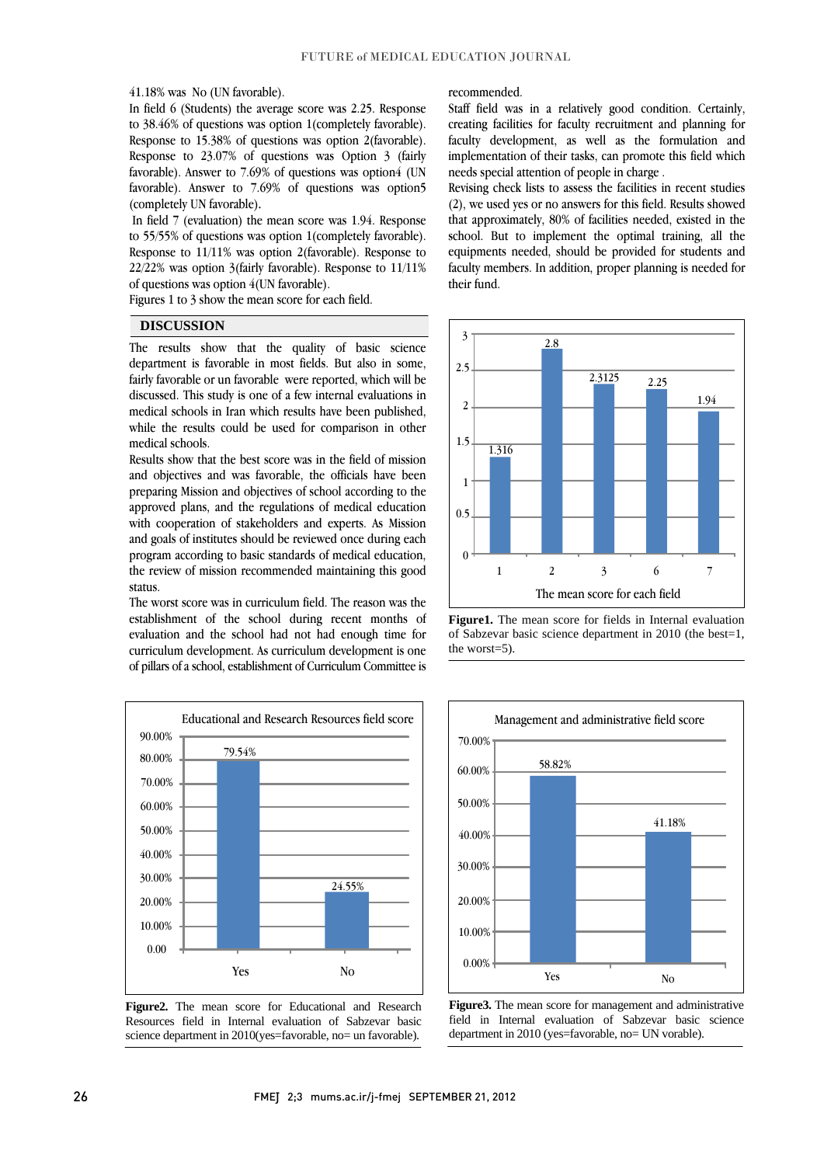41.18% was No (UN favorable).

 In field 6 (Students) the average score was 2.25. Response to 38.46% of questions was option 1(completely favorable). Response to 13.36% of questions was option 2 (tavorable).<br>Response to 23.07% of questions was Option 3 (fairly favorable). Answer to  $7.69\%$  of questions was option4 (UN favorable). Answer to 7.69% of questions was option5 Response to 15.38% of questions was option 2(favorable). (completely UN favorable).

 In field 7 (evaluation) the mean score was 1.94. Response Response to 11/11% was option 2(favorable). Response to 22/22% was option 3(fairly favorable). Response to 11/11% to 55/55% of questions was option 1(completely favorable). of questions was option 4(UN favorable).

Figures 1 to 3 show the mean score for each field.

## **DISCUSSION**

 The results show that the quality of basic science department is favorable in most fields. But also in some, fairly favorable or un favorable were reported, which will be medical schools in Iran which results have been published, while the results could be used for comparison in other discussed. This study is one of a few internal evaluations in medical schools.

and objectives and was favorable, the officials have been preparing Mission and objectives of school according to the approved plans, and the regulations of medical education with cooperation of stakeholders and experts. As Mission program according to basic standards of medical education, the review of mission recommended maintaining this good Results show that the best score was in the field of mission and goals of institutes should be reviewed once during each status.

 The worst score was in curriculum field. The reason was the evaluation and the school had not had enough time for curriculum development. As curriculum development is one of pillars of a school, establishment of Curriculum Committee is establishment of the school during recent months of





### recommended.

 Staff field was in a relatively good condition. Certainly, creating facilities for faculty recruitment and planning for faculty development, as well as the formulation and implementation of their tasks, can promote this field which<br>needs special attention of people in charge needs special attention of people in charge .

 Revising check lists to assess the facilities in recent studies (2), we used yes or no answers for this field. Results showed that approximately, 80% of facilities needed, existed in the equipments needed, should be provided for students and faculty members. In addition, proper planning is needed for school. But to implement the optimal training, all the their fund.



 of Sabzevar basic science department in 2010 (the best=1, **Figure1.** The mean score for fields in Internal evaluation the worst=5).



 **Figure3.** The mean score for management and administrative Ì  $\overline{a}$ field in Internal evaluation of Sabzevar basic science department in 2010 (yes=favorable, no= UN vorable).